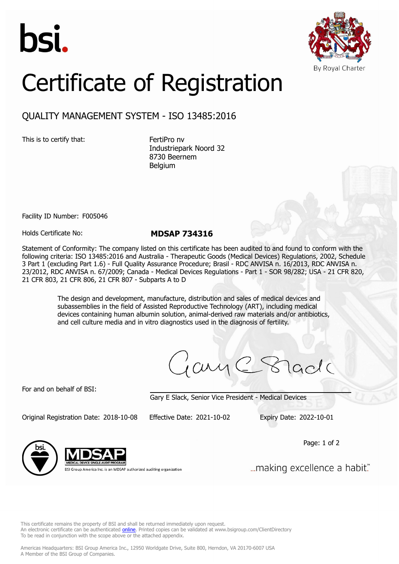



## Certificate of Registration

## QUALITY MANAGEMENT SYSTEM - ISO 13485:2016

This is to certify that: FertiPro nv

Industriepark Noord 32 8730 Beernem Belgium

Facility ID Number: F005046

Holds Certificate No: **MDSAP 734316**

Statement of Conformity: The company listed on this certificate has been audited to and found to conform with the following criteria: ISO 13485:2016 and Australia - Therapeutic Goods (Medical Devices) Regulations, 2002, Schedule 3 Part 1 (excluding Part 1.6) - Full Quality Assurance Procedure; Brasil - RDC ANVISA n. 16/2013, RDC ANVISA n. 23/2012, RDC ANVISA n. 67/2009; Canada - Medical Devices Regulations - Part 1 - SOR 98/282; USA - 21 CFR 820, 21 CFR 803, 21 CFR 806, 21 CFR 807 - Subparts A to D

> The design and development, manufacture, distribution and sales of medical devices and subassemblies in the field of Assisted Reproductive Technology (ART), including medical devices containing human albumin solution, animal-derived raw materials and/or antibiotics, and cell culture media and in vitro diagnostics used in the diagnosis of fertility.

jany C Stade

For and on behalf of BSI:

Gary E Slack, Senior Vice President - Medical Devices

Original Registration Date: 2018-10-08 Effective Date: 2021-10-02 Expiry Date: 2022-10-01

Page: 1 of 2



BSI Group America Inc. is an MDSAP authorized auditing organization

"...making excellence a habit.

This certificate remains the property of BSI and shall be returned immediately upon request. An electronic certificate can be authenticated *[online](https://pgplus.bsigroup.com/CertificateValidation/CertificateValidator.aspx?CertificateNumber=MDSAP+734316&ReIssueDate=02%2f10%2f2021&Template=inc)*. Printed copies can be validated at www.bsigroup.com/ClientDirectory To be read in conjunction with the scope above or the attached appendix.

Americas Headquarters: BSI Group America Inc., 12950 Worldgate Drive, Suite 800, Herndon, VA 20170-6007 USA A Member of the BSI Group of Companies.